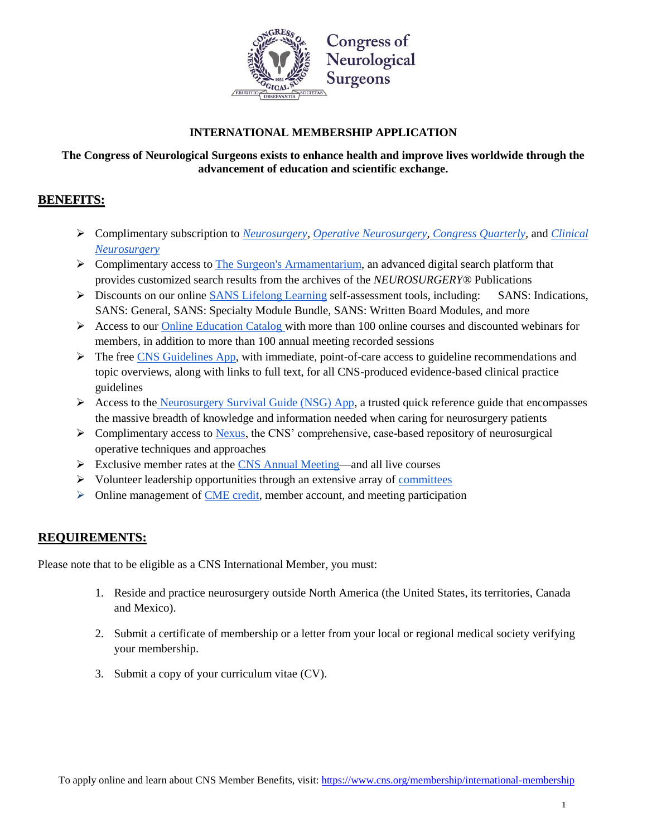

## **The Congress of Neurological Surgeons exists to enhance health and improve lives worldwide through the advancement of education and scientific exchange.**

## **BENEFITS:**

- Complimentary subscription to *[Neurosurgery,](https://academic.oup.com/neurosurgery) [Operative Neurosurgery,](https://academic.oup.com/ons) [Congress Quarterly,](https://www.cns.org/publications/congress-quarterly)* and *[Clinical](https://www.cns.org/education/browse-type/clinical-neurosurgery)  [Neurosurgery](https://www.cns.org/education/browse-type/clinical-neurosurgery)*
- $\triangleright$  Complimentary access to [The Surgeon's Armamentarium,](http://www.ons-sa.com/) an advanced digital search platform that provides customized search results from the archives of the *NEUROSURGERY®* Publications
- Discounts on our online [SANS Lifelong Learning](https://www.cns.org/education/browse-type/sans) self-assessment tools, including: SANS: Indications, SANS: General, SANS: Specialty Module Bundle, SANS: Written Board Modules, and more
- $\triangleright$  Access to our [Online Education Catalog w](http://learn.cns.org/diweb/home)ith more than 100 online courses and discounted webinars for members, in addition to more than 100 annual meeting recorded sessions
- $\triangleright$  The fre[e CNS Guidelines App,](https://www.cns.org/education/apps) with immediate, point-of-care access to guideline recommendations and topic overviews, along with links to full text, for all CNS-produced evidence-based clinical practice guidelines
- Access to the [Neurosurgery Survival Guide \(NSG\) App,](https://www.cns.org/education/apps) a trusted quick reference guide that encompasses the massive breadth of knowledge and information needed when caring for neurosurgery patients
- $\triangleright$  Complimentary access to [Nexus,](http://cns.org/nexus) the CNS' comprehensive, case-based repository of neurosurgical operative techniques and approaches
- $\triangleright$  Exclusive member rates at the [CNS Annual Meeting—](https://www.cns.org/meetings/annual-meeting)and all live courses
- $\triangleright$  Volunteer leadership opportunities through an extensive array of [committees](https://www.cns.org/about-us/leadership-committees)
- $\triangleright$  Online management of [CME credit,](https://www.cns.org/education) member account, and meeting participation

## **REQUIREMENTS:**

Please note that to be eligible as a CNS International Member, you must:

- 1. Reside and practice neurosurgery outside North America (the United States, its territories, Canada and Mexico).
- 2. Submit a certificate of membership or a letter from your local or regional medical society verifying your membership.
- 3. Submit a copy of your curriculum vitae (CV).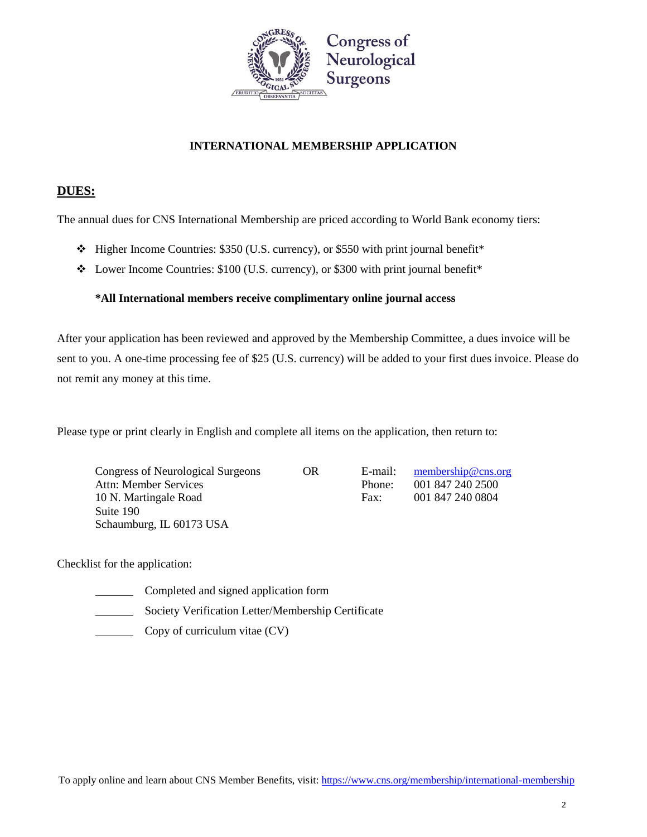

## **DUES:**

The annual dues for CNS International Membership are priced according to World Bank economy tiers:

- $\div$  Higher Income Countries: \$350 (U.S. currency), or \$550 with print journal benefit\*
- Lower Income Countries: \$100 (U.S. currency), or \$300 with print journal benefit\*

### **\*All International members receive complimentary online journal access**

After your application has been reviewed and approved by the Membership Committee, a dues invoice will be sent to you. A one-time processing fee of \$25 (U.S. currency) will be added to your first dues invoice. Please do not remit any money at this time.

Please type or print clearly in English and complete all items on the application, then return to:

Congress of Neurological Surgeons OR E-mail: [membership@cns.org](mailto:membership@cns.org) Attn: Member Services Phone: 001 847 240 2500 10 N. Martingale Road Fax: 001 847 240 0804 Suite 190 Schaumburg, IL 60173 USA

Checklist for the application:

- Completed and signed application form
- Society Verification Letter/Membership Certificate
- Copy of curriculum vitae (CV)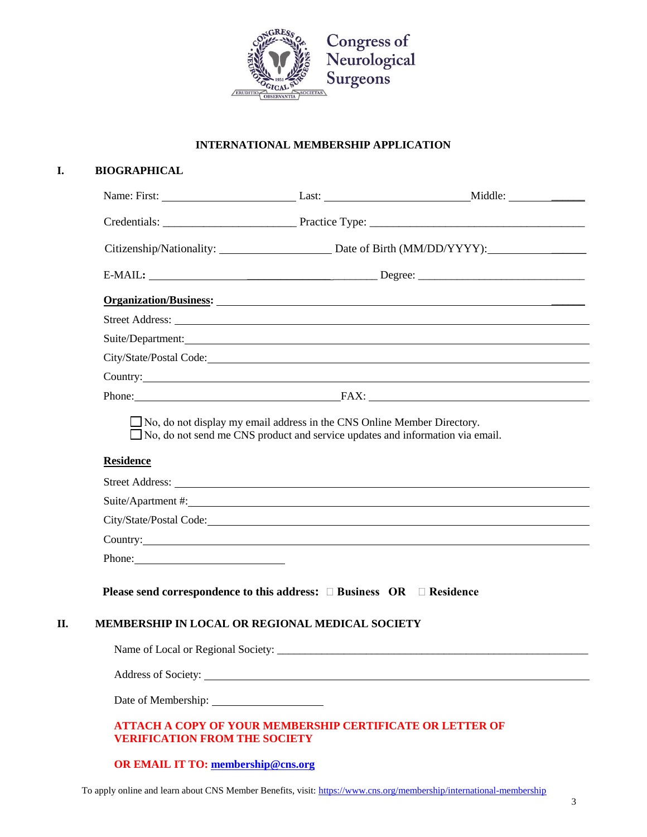

# **I. BIOGRAPHICAL** Name: First: Last: Middle: \_\_\_\_\_\_ Credentials: \_\_\_\_\_\_\_\_\_\_\_\_\_\_\_\_\_\_\_\_\_\_\_ Practice Type: \_\_\_\_\_\_\_\_\_\_\_\_\_\_\_\_\_\_\_\_\_\_\_\_\_\_\_\_\_\_\_\_\_\_\_\_\_ Citizenship/Nationality: Date of Birth (MM/DD/YYYY): \_\_\_\_\_\_ E-MAIL**:** \_\_\_\_\_\_\_\_\_\_\_\_\_\_\_ \_\_\_\_\_\_\_\_ Degree: \_\_\_\_\_\_\_\_\_\_\_\_\_\_\_\_\_\_\_\_\_\_\_\_\_\_\_\_\_\_ **Organization/Business:** \_\_\_\_\_\_ Street Address: Suite/Department: City/State/Postal Code: Country: Phone: FAX: □ No, do not display my email address in the CNS Online Member Directory. □ No, do not send me CNS product and service updates and information via email. **Residence** Street Address: Suite/Apartment #: City/State/Postal Code: Country: Phone: **Please send correspondence to this address: □ Business OR □ Residence II. MEMBERSHIP IN LOCAL OR REGIONAL MEDICAL SOCIETY** Name of Local or Regional Society: \_\_\_\_\_\_\_\_\_\_\_\_\_\_\_\_\_\_\_\_\_\_\_\_\_\_\_\_\_\_\_\_\_\_\_\_\_\_\_\_\_\_\_\_\_\_\_\_\_\_\_\_\_\_\_\_ Address of Society:  $\overline{\phantom{a}}$ Date of Membership: **ATTACH A COPY OF YOUR MEMBERSHIP CERTIFICATE OR LETTER OF VERIFICATION FROM THE SOCIETY OR EMAIL IT TO[: membership@cns.org](mailto:membership@cns.org)**

To apply online and learn about CNS Member Benefits, visit[: https://www.cns.org/membership/international-membership](https://www.cns.org/membership/international-membership)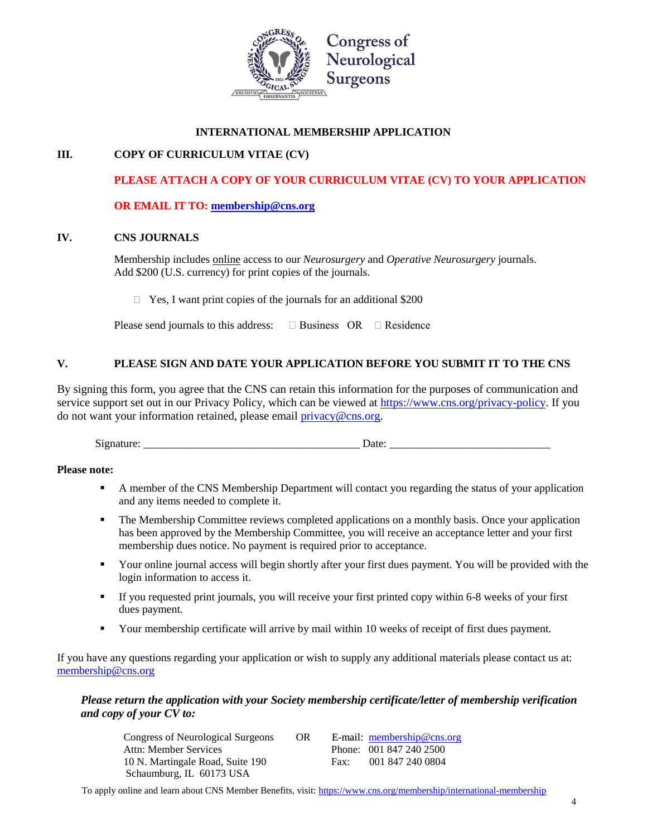

## **III. COPY OF CURRICULUM VITAE (CV)**

## **PLEASE ATTACH A COPY OF YOUR CURRICULUM VITAE (CV) TO YOUR APPLICATION**

#### **OR EMAIL IT TO[: membership@cns.org](mailto:membership@cns.org)**

#### **IV. CNS JOURNALS**

Membership includes online access to our *Neurosurgery* and *Operative Neurosurgery* journals. Add \$200 (U.S. currency) for print copies of the journals.

 $\Box$  Yes, I want print copies of the journals for an additional \$200

Please send journals to this address:  $\square$  Business OR  $\square$  Residence

### **V. PLEASE SIGN AND DATE YOUR APPLICATION BEFORE YOU SUBMIT IT TO THE CNS**

By signing this form, you agree that the CNS can retain this information for the purposes of communication and service support set out in our Privacy Policy, which can be viewed at [https://www.cns.org/privacy-policy.](https://www.cns.org/privacy-policy) If you do not want your information retained, please email [privacy@cns.org.](mailto:privacy@cns.org)

Signature: \_\_\_\_\_\_\_\_\_\_\_\_\_\_\_\_\_\_\_\_\_\_\_\_\_\_\_\_\_\_\_\_\_\_\_\_\_\_\_ Date: \_\_\_\_\_\_\_\_\_\_\_\_\_\_\_\_\_\_\_\_\_\_\_\_\_\_\_\_\_

#### **Please note:**

- A member of the CNS Membership Department will contact you regarding the status of your application and any items needed to complete it.
- **The Membership Committee reviews completed applications on a monthly basis. Once your application** has been approved by the Membership Committee, you will receive an acceptance letter and your first membership dues notice. No payment is required prior to acceptance.
- Your online journal access will begin shortly after your first dues payment. You will be provided with the login information to access it.
- If you requested print journals, you will receive your first printed copy within 6-8 weeks of your first dues payment.
- Your membership certificate will arrive by mail within 10 weeks of receipt of first dues payment.

If you have any questions regarding your application or wish to supply any additional materials please contact us at: [membership@cns.org](mailto:membership@cns.org)

#### *Please return the application with your Society membership certificate/letter of membership verification and copy of your CV to:*

| Congress of Neurological Surgeons | OR. |      | E-mail: $membership@cns.org$ |
|-----------------------------------|-----|------|------------------------------|
| Attn: Member Services             |     |      | Phone: 001 847 240 2500      |
| 10 N. Martingale Road, Suite 190  |     | Fax: | 001 847 240 0804             |
| Schaumburg, IL 60173 USA          |     |      |                              |

To apply online and learn about CNS Member Benefits, visit[: https://www.cns.org/membership/international-membership](https://www.cns.org/membership/international-membership)